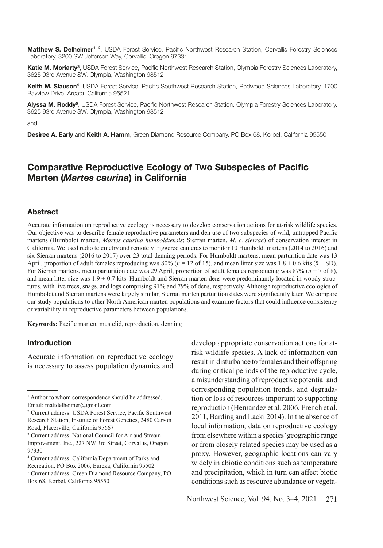**Matthew S. Delheimer1, 2**, USDA Forest Service, Pacifc Northwest Research Station, Corvallis Forestry Sciences Laboratory, 3200 SW Jeferson Way, Corvallis, Oregon 97331

Katie M. Moriarty<sup>3</sup>, USDA Forest Service, Pacific Northwest Research Station, Olympia Forestry Sciences Laboratory, 3625 93rd Avenue SW, Olympia, Washington 98512

**Keith M. Slauson<sup>4</sup>**, USDA Forest Service, Pacifc Southwest Research Station, Redwood Sciences Laboratory, 1700 Bayview Drive, Arcata, California 95521

**Alyssa M. Roddy<sup>5</sup>**, USDA Forest Service, Pacifc Northwest Research Station, Olympia Forestry Sciences Laboratory, 3625 93rd Avenue SW, Olympia, Washington 98512

and

**Desiree A. Early** and **Keith A. Hamm**, Green Diamond Resource Company, PO Box 68, Korbel, California 95550

# **Comparative Reproductive Ecology of Two Subspecies of Pacifc Marten (***Martes caurina***) in California**

#### **Abstract**

Accurate information on reproductive ecology is necessary to develop conservation actions for at-risk wildlife species. Our objective was to describe female reproductive parameters and den use of two subspecies of wild, untrapped Pacifc martens (Humboldt marten*, Martes caurina humboldtensis*; Sierran marten, *M. c. sierrae*) of conservation interest in California. We used radio telemetry and remotely triggered cameras to monitor 10 Humboldt martens (2014 to 2016) and six Sierran martens (2016 to 2017) over 23 total denning periods. For Humboldt martens, mean parturition date was 13 April, proportion of adult females reproducing was  $80\%$  ( $n = 12$  of 15), and mean litter size was  $1.8 \pm 0.6$  kits ( $\bar{x} \pm SD$ ). For Sierran martens, mean parturition date was 29 April, proportion of adult females reproducing was 87% (*n* = 7 of 8), and mean litter size was  $1.9 \pm 0.7$  kits. Humboldt and Sierran marten dens were predominantly located in woody structures, with live trees, snags, and logs comprising 91% and 79% of dens, respectively. Although reproductive ecologies of Humboldt and Sierran martens were largely similar, Sierran marten parturition dates were signifcantly later. We compare our study populations to other North American marten populations and examine factors that could infuence consistency or variability in reproductive parameters between populations.

**Keywords:** Pacifc marten, mustelid, reproduction, denning

### **Introduction**

Accurate information on reproductive ecology is necessary to assess population dynamics and develop appropriate conservation actions for atrisk wildlife species. A lack of information can result in disturbance to females and their offspring during critical periods of the reproductive cycle, a misunderstanding of reproductive potential and corresponding population trends, and degradation or loss of resources important to supporting reproduction (Hernandez et al. 2006, French et al. 2011, Barding and Lacki 2014). In the absence of local information, data on reproductive ecology from elsewhere within a species' geographic range or from closely related species may be used as a proxy. However, geographic locations can vary widely in abiotic conditions such as temperature and precipitation, which in turn can affect biotic conditions such as resource abundance or vegeta-

<sup>&</sup>lt;sup>1</sup> Author to whom correspondence should be addressed. Email: mattdelheimer@gmail.com

<sup>2</sup> Current address: USDA Forest Service, Pacifc Southwest Research Station, Institute of Forest Genetics, 2480 Carson Road, Placerville, California 95667

<sup>3</sup> Current address: National Council for Air and Stream Improvement, Inc., 227 NW 3rd Street, Corvallis, Oregon 97330

<sup>4</sup> Current address: California Department of Parks and

Recreation, PO Box 2006, Eureka, California 95502

<sup>5</sup> Current address: Green Diamond Resource Company, PO Box 68, Korbel, California 95550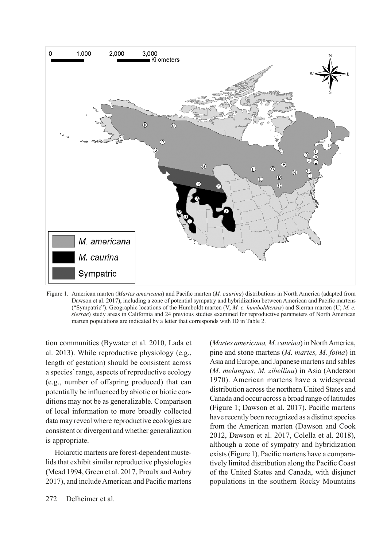

Figure 1. American marten (*Martes americana*) and Pacifc marten (*M. caurina*) distributions in North America (adapted from Dawson et al. 2017), including a zone of potential sympatry and hybridization between American and Pacifc martens ("Sympatric"). Geographic locations of the Humboldt marten (V; *M. c. humboldtensis*) and Sierran marten (U; *M. c. sierrae*) study areas in California and 24 previous studies examined for reproductive parameters of North American marten populations are indicated by a letter that corresponds with ID in Table 2.

tion communities (Bywater et al. 2010, Lada et al. 2013). While reproductive physiology (e.g., length of gestation) should be consistent across a species' range, aspects of reproductive ecology (e.g., number of offspring produced) that can potentially be infuenced by abiotic or biotic conditions may not be as generalizable. Comparison of local information to more broadly collected data may reveal where reproductive ecologies are consistent or divergent and whether generalization is appropriate.

Holarctic martens are forest-dependent mustelids that exhibit similar reproductive physiologies (Mead 1994, Green et al. 2017, Proulx and Aubry 2017), and include American and Pacifc martens

(*Martes americana, M. caurina*) in North America, pine and stone martens (*M. martes, M. foina*) in Asia and Europe, and Japanese martens and sables (*M. melampus, M. zibellina*) in Asia (Anderson 1970). American martens have a widespread distribution across the northern United States and Canada and occur across a broad range of latitudes (Figure 1; Dawson et al. 2017). Pacifc martens have recently been recognized as a distinct species from the American marten (Dawson and Cook 2012, Dawson et al. 2017, Colella et al. 2018), although a zone of sympatry and hybridization exists (Figure 1). Pacifc martens have a comparatively limited distribution along the Pacifc Coast of the United States and Canada, with disjunct populations in the southern Rocky Mountains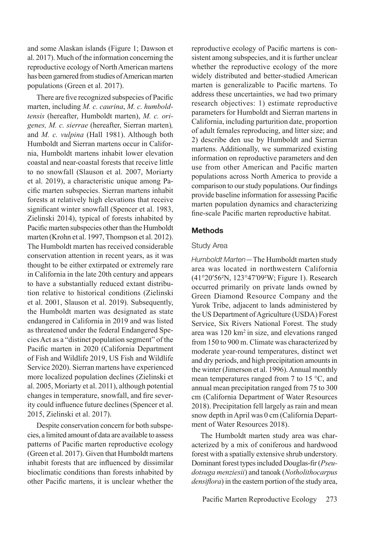and some Alaskan islands (Figure 1; Dawson et al. 2017). Much of the information concerning the reproductive ecology of North American martens has been garnered from studies of American marten populations (Green et al. 2017).

There are fve recognized subspecies of Pacifc marten, including *M. c. caurina*, *M. c. humboldtensis* (hereafter, Humboldt marten), *M. c. origenes, M. c. sierrae* (hereafter, Sierran marten)*,*  and *M. c. vulpina* (Hall 1981). Although both Humboldt and Sierran martens occur in California, Humboldt martens inhabit lower elevation coastal and near-coastal forests that receive little to no snowfall (Slauson et al. 2007, Moriarty et al. 2019), a characteristic unique among Pacifc marten subspecies. Sierran martens inhabit forests at relatively high elevations that receive significant winter snowfall (Spencer et al. 1983, Zielinski 2014), typical of forests inhabited by Pacifc marten subspecies other than the Humboldt marten (Krohn et al. 1997, Thompson et al. 2012). The Humboldt marten has received considerable conservation attention in recent years, as it was thought to be either extirpated or extremely rare in California in the late 20th century and appears to have a substantially reduced extant distribution relative to historical conditions (Zielinski et al. 2001, Slauson et al. 2019). Subsequently, the Humboldt marten was designated as state endangered in California in 2019 and was listed as threatened under the federal Endangered Species Act as a "distinct population segment" of the Pacifc marten in 2020 (California Department of Fish and Wildlife 2019, US Fish and Wildlife Service 2020). Sierran martens have experienced more localized population declines (Zielinski et al. 2005, Moriarty et al. 2011), although potential changes in temperature, snowfall, and fre severity could infuence future declines (Spencer et al. 2015, Zielinski et al. 2017).

Despite conservation concern for both subspecies, a limited amount of data are available to assess patterns of Pacifc marten reproductive ecology (Green et al. 2017). Given that Humboldt martens inhabit forests that are infuenced by dissimilar bioclimatic conditions than forests inhabited by other Pacifc martens, it is unclear whether the

reproductive ecology of Pacifc martens is consistent among subspecies, and it is further unclear whether the reproductive ecology of the more widely distributed and better-studied American marten is generalizable to Pacifc martens. To address these uncertainties, we had two primary research objectives: 1) estimate reproductive parameters for Humboldt and Sierran martens in California, including parturition date, proportion of adult females reproducing, and litter size; and 2) describe den use by Humboldt and Sierran martens. Additionally, we summarized existing information on reproductive parameters and den use from other American and Pacifc marten populations across North America to provide a comparison to our study populations. Our fndings provide baseline information for assessing Pacifc marten population dynamics and characterizing fne-scale Pacifc marten reproductive habitat.

### **Methods**

#### Study Area

*Humboldt Marten—*The Humboldt marten study area was located in northwestern California (41°20′56²N, 123°47′09²W; Figure 1). Research occurred primarily on private lands owned by Green Diamond Resource Company and the Yurok Tribe, adjacent to lands administered by the US Department of Agriculture (USDA) Forest Service, Six Rivers National Forest. The study area was 120 km<sup>2</sup> in size, and elevations ranged from 150 to 900 m. Climate was characterized by moderate year-round temperatures, distinct wet and dry periods, and high precipitation amounts in the winter (Jimerson et al. 1996). Annual monthly mean temperatures ranged from 7 to 15 °C, and annual mean precipitation ranged from 75 to 300 cm (California Department of Water Resources 2018). Precipitation fell largely as rain and mean snow depth in April was 0 cm (California Department of Water Resources 2018).

The Humboldt marten study area was characterized by a mix of coniferous and hardwood forest with a spatially extensive shrub understory. Dominant forest types included Douglas-fr (*Pseudotsuga menziesii*) and tanoak (*Notholithocarpus densifora*) in the eastern portion of the study area,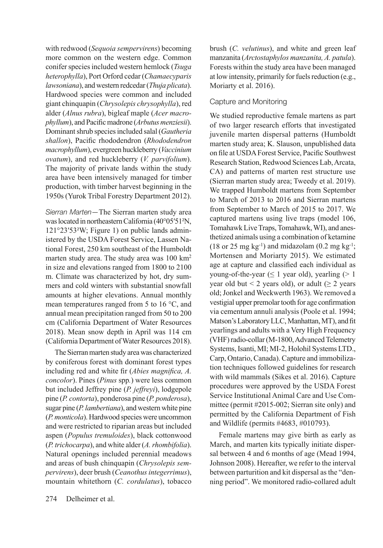with redwood (*Sequoia sempervirens*) becoming more common on the western edge. Common conifer species included western hemlock (*Tsuga heterophylla*), Port Orford cedar (*Chamaecyparis lawsoniana*), and western redcedar (*Thuja plicata*). Hardwood species were common and included giant chinquapin (*Chrysolepis chrysophylla*), red alder (*Alnus rubra*), bigleaf maple (*Acer macrophyllum*), and Pacifc madrone (*Arbutus menziesii*). Dominant shrub species included salal (*Gautheria shallon*), Pacifc rhododendron (*Rhododendron macrophyllum*), evergreen huckleberry (*Vaccinium ovatum*), and red huckleberry (*V. parvifolium*). The majority of private lands within the study area have been intensively managed for timber production, with timber harvest beginning in the 1950s (Yurok Tribal Forestry Department 2012).

*Sierran Marten—*The Sierran marten study area was located in northeastern California (40°05′51²N, 121°23′53²W; Figure 1) on public lands administered by the USDA Forest Service, Lassen National Forest, 250 km southeast of the Humboldt marten study area. The study area was 100 km<sup>2</sup> in size and elevations ranged from 1800 to 2100 m. Climate was characterized by hot, dry summers and cold winters with substantial snowfall amounts at higher elevations. Annual monthly mean temperatures ranged from 5 to 16 °C, and annual mean precipitation ranged from 50 to 200 cm (California Department of Water Resources 2018). Mean snow depth in April was 114 cm (California Department of Water Resources 2018).

The Sierran marten study area was characterized by coniferous forest with dominant forest types including red and white fr (*Abies magnifca, A. concolor*). Pines (*Pinus* spp*.*) were less common but included Jeffrey pine (*P. jeffreyi*), lodgepole pine (*P. contorta*), ponderosa pine (*P. ponderosa*), sugar pine (*P. lambertiana*), and western white pine (*P. monticola*). Hardwood species were uncommon and were restricted to riparian areas but included aspen (*Populus tremuloides*), black cottonwood (*P. trichocarpa*), and white alder (*A. rhombifolia*). Natural openings included perennial meadows and areas of bush chinquapin (*Chrysolepis sempervirens*), deer brush (*Ceanothus integerrimus*), mountain whitethorn (*C. cordulatus*), tobacco

# Capture and Monitoring

We studied reproductive female martens as part of two larger research efforts that investigated juvenile marten dispersal patterns (Humboldt marten study area; K. Slauson, unpublished data on fle at USDA Forest Service, Pacifc Southwest Research Station, Redwood Sciences Lab, Arcata, CA) and patterns of marten rest structure use (Sierran marten study area; Tweedy et al. 2019). We trapped Humboldt martens from September to March of 2013 to 2016 and Sierran martens from September to March of 2015 to 2017. We captured martens using live traps (model 106, Tomahawk Live Traps, Tomahawk, WI), and anesthetized animals using a combination of ketamine  $(18 \text{ or } 25 \text{ mg kg}^{-1})$  and midazolam  $(0.2 \text{ mg kg}^{-1})$ ; Mortensen and Moriarty 2015). We estimated age at capture and classifed each individual as young-of-the-year ( $\leq 1$  year old), yearling ( $> 1$ ) year old but < 2 years old), or adult ( $\geq$  2 years old; Jonkel and Weckwerth 1963). We removed a vestigial upper premolar tooth for age confrmation via cementum annuli analysis (Poole et al. 1994; Matson's Laboratory LLC, Manhattan, MT), and ft yearlings and adults with a Very High Frequency (VHF) radio-collar (M-1800, Advanced Telemetry Systems, Isanti, MI; MI-2, Holohil Systems LTD., Carp, Ontario, Canada). Capture and immobilization techniques followed guidelines for research with wild mammals (Sikes et al. 2016). Capture procedures were approved by the USDA Forest Service Institutional Animal Care and Use Committee (permit #2015-002; Sierran site only) and permitted by the California Department of Fish and Wildlife (permits #4683, #010793).

Female martens may give birth as early as March, and marten kits typically initiate dispersal between 4 and 6 months of age (Mead 1994, Johnson 2008). Hereafter, we refer to the interval between parturition and kit dispersal as the "denning period". We monitored radio-collared adult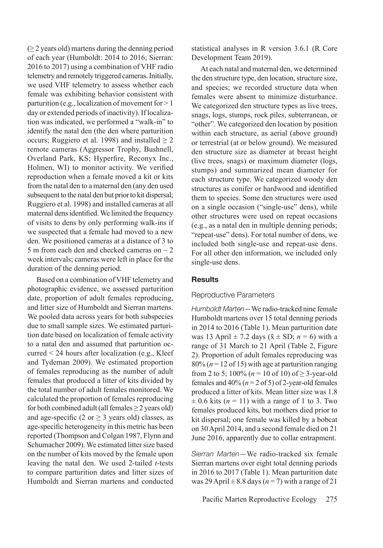$(≥ 2$  years old) martens during the denning period of each year (Humboldt: 2014 to 2016; Sierran: 2016 to 2017) using a combination of VHF radio telemetry and remotely triggered cameras. Initially, we used VHF telemetry to assess whether each female was exhibiting behavior consistent with parturition (e.g., localization of movement for > 1 day or extended periods of inactivity). If localization was indicated, we performed a "walk-in" to identify the natal den (the den where parturition occurs; Ruggiero et al. 1998) and installed  $\geq 2$ remote cameras (Aggressor Trophy, Bushnell, Overland Park, KS; Hyperfre, Reconyx Inc., Holmen, WI) to monitor activity. We verifed reproduction when a female moved a kit or kits from the natal den to a maternal den (any den used subsequent to the natal den but prior to kit dispersal; Ruggiero et al. 1998) and installed cameras at all maternal dens identifed. We limited the frequency of visits to dens by only performing walk-ins if we suspected that a female had moved to a new den. We positioned cameras at a distance of 3 to 5 m from each den and checked cameras on  $\sim$  2 week intervals; cameras were left in place for the duration of the denning period.

Based on a combination of VHF telemetry and photographic evidence, we assessed parturition date, proportion of adult females reproducing, and litter size of Humboldt and Sierran martens. We pooled data across years for both subspecies due to small sample sizes. We estimated parturition date based on localization of female activity to a natal den and assumed that parturition occurred < 24 hours after localization (e.g., Kleef and Tydeman 2009). We estimated proportion of females reproducing as the number of adult females that produced a litter of kits divided by the total number of adult females monitored. We calculated the proportion of females reproducing for both combined adult (all females  $\geq 2$  years old) and age-specific (2 or  $\geq$  3 years old) classes, as age-specifc heterogeneity in this metric has been reported (Thompson and Colgan 1987, Flynn and Schumacher 2009). We estimated litter size based on the number of kits moved by the female upon leaving the natal den. We used 2-tailed *t*-tests to compare parturition dates and litter sizes of Humboldt and Sierran martens and conducted

statistical analyses in R version 3.6.1 (R Core Development Team 2019).

At each natal and maternal den, we determined the den structure type, den location, structure size, and species; we recorded structure data when females were absent to minimize disturbance. We categorized den structure types as live trees, snags, logs, stumps, rock piles, subterranean, or "other". We categorized den location by position within each structure, as aerial (above ground) or terrestrial (at or below ground). We measured den structure size as diameter at breast height (live trees, snags) or maximum diameter (logs, stumps) and summarized mean diameter for each structure type. We categorized woody den structures as conifer or hardwood and identifed them to species. Some den structures were used on a single occasion ("single-use" dens), while other structures were used on repeat occasions (e.g., as a natal den in multiple denning periods; "repeat-use" dens). For total number of dens, we included both single-use and repeat-use dens. For all other den information, we included only single-use dens.

### **Results**

### Reproductive Parameters

*Humboldt Marten—*We radio-tracked nine female Humboldt martens over 15 total denning periods in 2014 to 2016 (Table 1). Mean parturition date was 13 April  $\pm$  7.2 days ( $\bar{x} \pm$  SD;  $n = 6$ ) with a range of 31 March to 21 April (Table 2, Figure 2). Proportion of adult females reproducing was  $80\%$  ( $n = 12$  of 15) with age at parturition ranging from 2 to 5;  $100\%$  ( $n = 10$  of 10) of  $\geq$  3-year-old females and  $40\%$  ( $n = 2$  of 5) of 2-year-old females produced a litter of kits. Mean litter size was 1.8  $\pm$  0.6 kits ( $n = 11$ ) with a range of 1 to 3. Two females produced kits, but mothers died prior to kit dispersal; one female was killed by a bobcat on 30 April 2014, and a second female died on 21 June 2016, apparently due to collar entrapment.

*Sierran Marten—*We radio-tracked six female Sierran martens over eight total denning periods in 2016 to 2017 (Table 1). Mean parturition date was 29 April  $\pm$  8.8 days ( $n = 7$ ) with a range of 21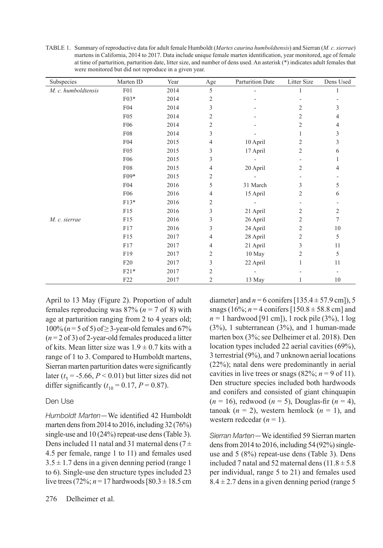TABLE 1. Summary of reproductive data for adult female Humboldt (*Martes caurina humboldtensis*) and Sierran (*M. c. sierrae*) martens in California, 2014 to 2017. Data include unique female marten identifcation, year monitored, age of female at time of parturition, parturition date, litter size, and number of dens used. An asterisk (\*) indicates adult females that were monitored but did not reproduce in a given year.

| Subspecies          | Marten ID        | Year | $_{\rm Age}$   | Parturition Date | Litter Size    | Dens Used      |
|---------------------|------------------|------|----------------|------------------|----------------|----------------|
| M. c. humboldtensis | F <sub>0</sub> 1 | 2014 | 5              |                  | 1              | 1              |
|                     | F03*             | 2014 | 2              |                  |                |                |
|                     | F04              | 2014 | 3              |                  | $\overline{2}$ | 3              |
|                     | F <sub>05</sub>  | 2014 | $\overline{c}$ |                  | $\overline{2}$ | 4              |
|                     | F06              | 2014 | $\overline{c}$ |                  | $\mathfrak{2}$ | 4              |
|                     | F08              | 2014 | 3              |                  |                | 3              |
|                     | F04              | 2015 | 4              | 10 April         | $\mathfrak{2}$ | 3              |
|                     | F <sub>05</sub>  | 2015 | 3              | 17 April         | 2              | 6              |
|                     | F06              | 2015 | 3              |                  |                | 1              |
|                     | <b>F08</b>       | 2015 | 4              | 20 April         | 2              | 4              |
|                     | F09*             | 2015 | 2              |                  |                |                |
|                     | F04              | 2016 | 5              | 31 March         | 3              | 5              |
|                     | F06              | 2016 | 4              | 15 April         | $\overline{2}$ | 6              |
|                     | $F13*$           | 2016 | 2              |                  |                |                |
|                     | F15              | 2016 | 3              | 21 April         | $\overline{2}$ | $\overline{c}$ |
| M. c. sierrae       | F15              | 2016 | 3              | 26 April         | $\mathfrak{2}$ | 7              |
|                     | F17              | 2016 | 3              | 24 April         | $\overline{2}$ | 10             |
|                     | F15              | 2017 | 4              | 28 April         | $\overline{c}$ | 5              |
|                     | F17              | 2017 | 4              | 21 April         | 3              | 11             |
|                     | F19              | 2017 | 2              | 10 May           | $\overline{2}$ | 5              |
|                     | F <sub>20</sub>  | 2017 | 3              | 22 April         | 1              | 11             |
|                     | $F21*$           | 2017 | 2              |                  |                |                |
|                     | F <sub>22</sub>  | 2017 | 2              | 13 May           | 1              | 10             |

April to 13 May (Figure 2). Proportion of adult females reproducing was  $87\%$  ( $n = 7$  of 8) with age at parturition ranging from 2 to 4 years old;  $100\%$  ( $n = 5$  of 5) of  $\geq$  3-year-old females and 67% (*n* = 2 of 3) of 2-year-old females produced a litter of kits. Mean litter size was  $1.9 \pm 0.7$  kits with a range of 1 to 3. Compared to Humboldt martens, Sierran marten parturition dates were signifcantly later ( $t<sub>5</sub>$  = -5.66,  $P < 0.01$ ) but litter sizes did not differ significantly ( $t_{10} = 0.17$ ,  $P = 0.87$ ).

# Den Use

*Humboldt Marten—*We identifed 42 Humboldt marten dens from 2014 to 2016, including 32 (76%) single-use and 10 (24%) repeat-use dens (Table 3). Dens included 11 natal and 31 maternal dens ( $7 \pm$ 4.5 per female, range 1 to 11) and females used  $3.5 \pm 1.7$  dens in a given denning period (range 1) to 6). Single-use den structure types included 23 live trees (72%;  $n = 17$  hardwoods [80.3  $\pm$  18.5 cm diameter] and  $n = 6$  conifers  $[135.4 \pm 57.9$  cm]), 5 snags (16%;  $n = 4$  conifers [150.8  $\pm$  58.8 cm] and *n =* 1 hardwood [91 cm]), 1 rock pile (3%), 1 log (3%), 1 subterranean (3%), and 1 human-made marten box (3%; see Delheimer et al. 2018). Den location types included 22 aerial cavities (69%), 3 terrestrial (9%), and 7 unknown aerial locations (22%); natal dens were predominantly in aerial cavities in live trees or snags  $(82\%; n = 9 \text{ of } 11)$ . Den structure species included both hardwoods and conifers and consisted of giant chinquapin  $(n = 16)$ , redwood  $(n = 5)$ , Douglas-fir  $(n = 4)$ , tanoak  $(n = 2)$ , western hemlock  $(n = 1)$ , and western redcedar  $(n = 1)$ .

*Sierran Marten—*We identifed 59 Sierran marten dens from 2014 to 2016, including 54 (92%) singleuse and 5 (8%) repeat-use dens (Table 3). Dens included 7 natal and 52 maternal dens  $(11.8 \pm 5.8)$ per individual, range 5 to 21) and females used  $8.4 \pm 2.7$  dens in a given denning period (range 5)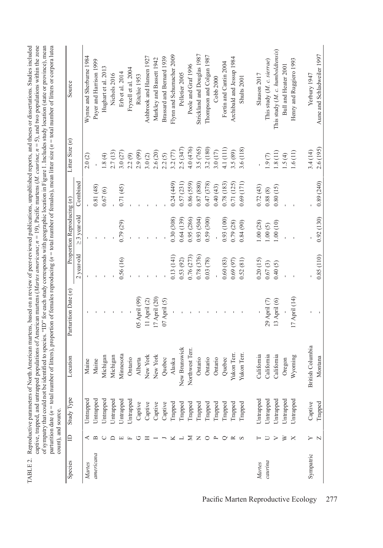TABLE 2. Reproductive parameters of North American martens, based on a review of peer-reviewed publications, unpublished reports, and theses or dissertations. Studies included captive, trapped, and untrapped populations of American martens (Martes americana;  $n = 19$ ), Pacific martens (M. caurina;  $n = 5$ ), and two populations within the zone captive, trapped, and untrapped populations of American martens (*Martes americana*; *n* = 19), Pacifc martens (*M. caurina*; *n* = 5), and two populations within the zone of sympatry that could not be identified to species. "ID" for each study corresponds with geographic location in Figure 1. Includes study location (state or province), mean<br>parturition date (n = total number of litters), of sympatry that could not be identifed to species. "ID" for each study corresponds with geographic location in Figure 1. Includes study location (state or province), mean parturition date (*n* = total number of litters), proportion of females reproducing (*n* = total number of females), mean litter size (*n* = total number of litters or corpora lutea TABLE 2. Reproductive parameters of North American martens, based on a review of peer-reviewed publications, unpublished reports, and theses or dissertations. Studies included

count), and source.

|           |              | count), and source |                  |                      |            |                            |            |                   |                                  |
|-----------|--------------|--------------------|------------------|----------------------|------------|----------------------------|------------|-------------------|----------------------------------|
| Species   | ≘            | Study Type         | Location         | Parturition Date (n) |            | Proportion Reproducing (n) |            | Litter Size $(n)$ | Source                           |
|           |              |                    |                  |                      | 2 year-old | $\geq$ 3 year-old          | Combined   |                   |                                  |
| Martes    | ⋖            | Untrapped          | Maine            |                      |            |                            |            | 2.0(2)            | Wyme and Sherburne 1984          |
| americana | ≃            | Untrapped          | Maine            |                      |            |                            | 0.81(48)   |                   | Payer and Harrison 1999          |
|           |              | Untrapped          | Michigan         |                      |            |                            | 0.67(6)    | 1.8(4)            | Hughart et al. 2013              |
|           | ≏            | Untrapped          | Michigan         |                      |            |                            |            | 2.7(13)           | Nichols 2016                     |
|           | ш            | Untrapped          | Minnesota        |                      | 0.56(16)   | 0.79(29)                   | 0.71(45)   | 3.0(27)           | Erb et al. 2014                  |
|           | 山            | Untrapped          | Ontario          |                      |            |                            |            | 2.2(9)            | Fryxell et al. 2004              |
|           | ↺            | Captive            | Alberta          | 05 April (99)        |            |                            |            | 2.9 (99)          | Ritchie 1953                     |
|           | ᄑ            | Captive            | New York         | 11 April $(2)$       |            |                            |            | 3.0(2)            | Ashbrook and Hansen 1927         |
|           |              | Captive            | New York         | 17 April (20)        |            |                            |            | 2.6(20)           | Markley and Bassett 1942         |
|           |              | Captive            | Quebec           | 07 April (5)         |            |                            |            | 2.2(5)            | Brassard and Bernard 1939        |
|           | ×            | Trapped            | Alaska           |                      | 0.13(141)  | 0.30(308)                  | 0.24(449)  | 3.2(77)           | Flym and Schumacher 2009         |
|           | ー            | Trapped            | New Brunswick    |                      | 0.53(92)   | 0.64(139)                  | 0.57(231)  | 2.5(347)          | Pelletier 2005                   |
|           | Σ            | Trapped            | Northwest Terr.  |                      | 0.76 (273) | 0.95(286)                  | 0.86(559)  | 4.0 (476)         | Poole and Graf 1996              |
|           | z            | Trapped            | Ontario          |                      | 0.78 (376) | 0.93(504)                  | 0.87 (880) | 3.5 (765)         | Strickland and Douglas 1987      |
|           | $\circ$      | Trapped            | Ontario          |                      | 0.03(78)   | 0.59(300)                  | 0.47 (378) | 3.2 (180)         | Thompson and Colgan 1987         |
|           | $\mathbf{r}$ | Trapped            | Ontario          |                      |            |                            | 0.40(43)   | 3.0(17)           | Cobb 2000                        |
|           | $\rm \sim$   | Trapped            | Quebec           |                      | 0.60(83)   | 0.93(100)                  | 0.78(183)  | 4.1 (111)         | Fortin and Cantin 2004           |
|           | $\approx$    | Trapped            | Yukon Terr       |                      | 0.69(97)   | 0.79(28)                   | 0.71 (125) | 3.5 (89)          | Archibald and Jessup 1984        |
|           | S            | Trapped            | Yukon Terr       |                      | 0.52(81)   | 0.84(90)                   | 0.69(171)  | 3.6 (118)         | Shults 2001                      |
| Martes    |              | Untrapped          | California       |                      | 0.20(15)   | 1.00(28)                   | 0.72(43)   |                   | Slauson 2017                     |
| caurina   |              | Untrapped          | California       | 29 April (7)         | 0.67(3)    | 1.00(5)                    | 0.88(8)    | 1.9(7)            | This study (M. c. sierrae)       |
|           | >            | Untrapped          | California       | $13$ April $(6)$     | 0.40(5)    | 1.00(10)                   | 0.80(15)   | 1.8(11)           | This study (M. c. humboldtensis) |
|           | ⋗            | Untrapped          | Oregon           |                      |            |                            |            | 1.5(4)            | Bull and Heater 2001             |
|           | ×            | Untrapped          | Wyoming          | 17 April (14)        |            |                            |            | 1.6(11)           | Henry and Ruggiero 1993          |
| Sympatric | ≻            | Captive            | British Columbia |                      |            |                            |            | 3.4(14)           | Yerbury 1947                     |
|           | N            | Trapped            | Montana          |                      | 0.85(110)  | 0.92(130)                  | 0.89 (240) | 2.6 (195)         | Aune and Schladweiler 1997       |
|           |              |                    |                  |                      |            |                            |            |                   |                                  |

Pacifc Marten Reproductive Ecology 277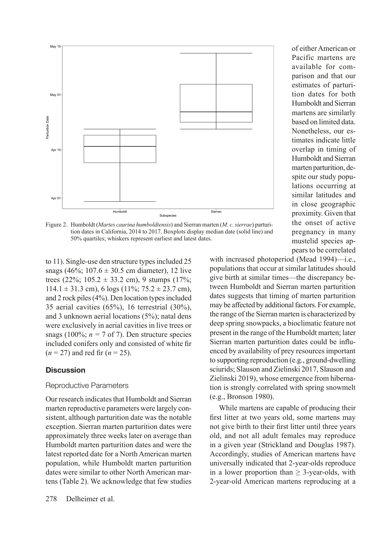

Figure 2. Humboldt (*Martes caurina humboldtensis*) and Sierran marten (*M. c. sierrae*) parturition dates in California, 2014 to 2017. Boxplots display median date (solid line) and 50% quartiles; whiskers represent earliest and latest dates.

to 11). Single-use den structure types included 25 snags (46%;  $107.6 \pm 30.5$  cm diameter), 12 live trees (22%;  $105.2 \pm 33.2$  cm), 9 stumps (17%;  $114.1 \pm 31.3$  cm), 6 logs ( $11\%$ ;  $75.2 \pm 23.7$  cm), and 2 rock piles (4%). Den location types included 35 aerial cavities (65%), 16 terrestrial (30%), and 3 unknown aerial locations (5%); natal dens were exclusively in aerial cavities in live trees or snags (100%;  $n = 7$  of 7). Den structure species included conifers only and consisted of white fr  $(n = 27)$  and red fir  $(n = 25)$ .

### **Discussion**

#### Reproductive Parameters

Our research indicates that Humboldt and Sierran marten reproductive parameters were largely consistent, although parturition date was the notable exception. Sierran marten parturition dates were approximately three weeks later on average than Humboldt marten parturition dates and were the latest reported date for a North American marten population, while Humboldt marten parturition dates were similar to other North American martens (Table 2). We acknowledge that few studies of either American or Pacific martens are available for comparison and that our estimates of parturition dates for both Humboldt and Sierran martens are similarly based on limited data. Nonetheless, our estimates indicate little overlap in timing of Humboldt and Sierran marten parturition, despite our study populations occurring at similar latitudes and in close geographic proximity. Given that the onset of active pregnancy in many mustelid species appears to be correlated

with increased photoperiod (Mead 1994)—i.e., populations that occur at similar latitudes should give birth at similar times—the discrepancy between Humboldt and Sierran marten parturition dates suggests that timing of marten parturition may be affected by additional factors. For example, the range of the Sierran marten is characterized by deep spring snowpacks, a bioclimatic feature not present in the range of the Humboldt marten; later Sierran marten parturition dates could be infuenced by availability of prey resources important to supporting reproduction (e.g., ground-dwelling sciurids; Slauson and Zielinski 2017, Slauson and Zielinski 2019), whose emergence from hibernation is strongly correlated with spring snowmelt (e.g., Bronson 1980).

While martens are capable of producing their frst litter at two years old, some martens may not give birth to their frst litter until three years old, and not all adult females may reproduce in a given year (Strickland and Douglas 1987). Accordingly, studies of American martens have universally indicated that 2-year-olds reproduce in a lower proportion than  $\geq$  3-year-olds, with 2-year-old American martens reproducing at a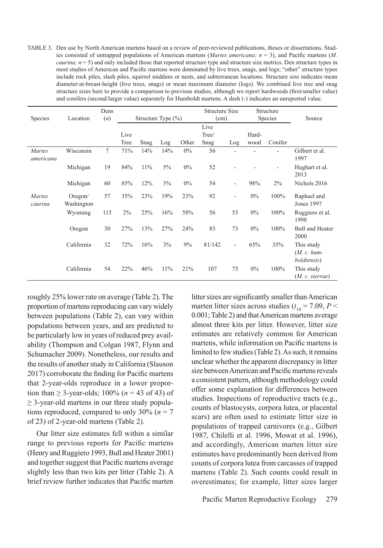TABLE 3. Den use by North American martens based on a review of peer-reviewed publications, theses or dissertations. Studies consisted of untrapped populations of American martens (*Martes americana; n* = 3), and Pacifc martens (*M. caurina; n* = 5) and only included those that reported structure type and structure size metrics. Den structure types in most studies of American and Pacifc martens were dominated by live trees, snags, and logs; "other" structure types include rock piles, slash piles, squirrel middens or nests, and subterranean locations. Structure size indicates mean diameter-at-breast-height (live trees, snags) or mean maximum diameter (logs). We combined live tree and snag structure sizes here to provide a comparison to previous studies, although we report hardwoods (frst/smaller value) and conifers (second/larger value) separately for Humboldt martens. A dash (-) indicates an unreported value.

| Species                  | Location              | Dens<br>(n) |      | Structure Type $(\% )$ |     | Structure Size<br>(cm) |        | Structure<br>Species     |       | Source  |                                                    |
|--------------------------|-----------------------|-------------|------|------------------------|-----|------------------------|--------|--------------------------|-------|---------|----------------------------------------------------|
|                          |                       |             |      |                        |     |                        | Live   |                          |       |         |                                                    |
|                          |                       |             | Live |                        |     |                        | Tree/  |                          | Hard- |         |                                                    |
|                          |                       |             | Tree | Snag                   | Log | Other                  | Snag   | Log                      | wood  | Conifer |                                                    |
| Martes<br>americana      | Wisconsin             | $\tau$      | 71%  | 14%                    | 14% | $0\%$                  | 56     |                          |       |         | Gilbert et al.<br>1997                             |
|                          | Michigan              | 19          | 84%  | 11%                    | 5%  | $0\%$                  | 52     |                          |       |         | Hughart et al.<br>2013                             |
|                          | Michigan              | 60          | 85%  | 12%                    | 3%  | $0\%$                  | 54     | $\overline{\phantom{a}}$ | 98%   | 2%      | Nichols 2016                                       |
| <b>Martes</b><br>caurina | Oregon/<br>Washington | 57          | 35%  | 23%                    | 19% | 23%                    | 92     |                          | $0\%$ | 100%    | Raphael and<br>Jones 1997                          |
|                          | Wyoming               | 115         | 2%   | 25%                    | 16% | 58%                    | 56     | 53                       | $0\%$ | 100%    | Ruggiero et al.<br>1998                            |
|                          | Oregon                | 30          | 27%  | 13%                    | 27% | 24%                    | 83     | 73                       | $0\%$ | 100%    | <b>Bull and Heater</b><br>2000                     |
|                          | California            | 32          | 72%  | 16%                    | 3%  | 9%                     | 81/142 | ٠                        | 65%   | 35%     | This study<br>$(M. c. hum-$<br><i>boldtensis</i> ) |
|                          | California            | 54          | 22%  | 46%                    | 11% | 21%                    | 107    | 75                       | $0\%$ | 100%    | This study<br>(M. c. sierrae)                      |

roughly 25% lower rate on average (Table 2). The proportion of martens reproducing can vary widely between populations (Table 2), can vary within populations between years, and are predicted to be particularly low in years of reduced prey availability (Thompson and Colgan 1987, Flynn and Schumacher 2009). Nonetheless, our results and the results of another study in California (Slauson 2017) corroborate the fnding for Pacifc martens that 2-year-olds reproduce in a lower proportion than  $\geq$  3-year-olds; 100% ( $n = 43$  of 43) of  $\geq$  3-year-old martens in our three study populations reproduced, compared to only  $30\%$  ( $n = 7$ ) of 23) of 2-year-old martens (Table 2).

Our litter size estimates fell within a similar range to previous reports for Pacifc martens (Henry and Ruggiero 1993, Bull and Heater 2001) and together suggest that Pacifc martens average slightly less than two kits per litter (Table 2). A brief review further indicates that Pacifc marten litter sizes are signifcantly smaller than American marten litter sizes across studies ( $t_{18} = 7.09, P <$ 0.001; Table 2) and that American martens average almost three kits per litter. However, litter size estimates are relatively common for American martens, while information on Pacifc martens is limited to few studies (Table 2). As such, it remains unclear whether the apparent discrepancy in litter size between American and Pacifc martens reveals a consistent pattern, although methodology could offer some explanation for differences between studies. Inspections of reproductive tracts (e.g., counts of blastocysts, corpora lutea, or placental scars) are often used to estimate litter size in populations of trapped carnivores (e.g., Gilbert 1987, Chilelli et al. 1996, Mowat et al. 1996), and accordingly, American marten litter size estimates have predominantly been derived from counts of corpora lutea from carcasses of trapped martens (Table 2). Such counts could result in overestimates; for example, litter sizes larger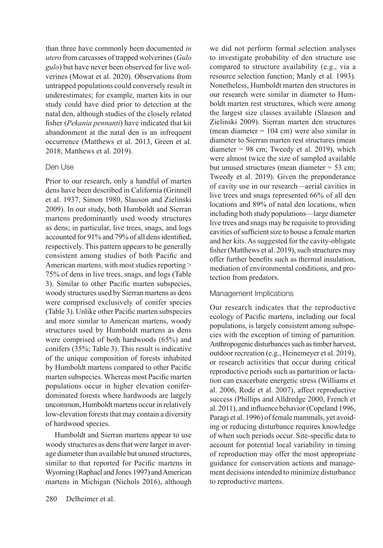than three have commonly been documented *in utero* from carcasses of trapped wolverines (*Gulo gulo*) but have never been observed for live wolverines (Mowat et al. 2020). Observations from untrapped populations could conversely result in underestimates; for example, marten kits in our study could have died prior to detection at the natal den, although studies of the closely related fsher (*Pekania pennanti*) have indicated that kit abandonment at the natal den is an infrequent occurrence (Matthews et al. 2013, Green et al. 2018, Matthews et al. 2019).

# Den Use

Prior to our research, only a handful of marten dens have been described in California (Grinnell et al. 1937, Simon 1980, Slauson and Zielinski 2009). In our study, both Humboldt and Sierran martens predominantly used woody structures as dens; in particular, live trees, snags, and logs accounted for 91% and 79% of all dens identifed, respectively. This pattern appears to be generally consistent among studies of both Pacifc and American martens, with most studies reporting > 75% of dens in live trees, snags, and logs (Table 3). Similar to other Pacifc marten subspecies, woody structures used by Sierran martens as dens were comprised exclusively of conifer species (Table 3). Unlike other Pacifc marten subspecies and more similar to American martens, woody structures used by Humboldt martens as dens were comprised of both hardwoods (65%) and conifers (35%; Table 3). This result is indicative of the unique composition of forests inhabited by Humboldt martens compared to other Pacifc marten subspecies. Whereas most Pacifc marten populations occur in higher elevation coniferdominated forests where hardwoods are largely uncommon, Humboldt martens occur in relatively low-elevation forests that may contain a diversity of hardwood species.

Humboldt and Sierran martens appear to use woody structures as dens that were larger in average diameter than available but unused structures, similar to that reported for Pacifc martens in Wyoming (Raphael and Jones 1997) and American martens in Michigan (Nichols 2016), although we did not perform formal selection analyses to investigate probability of den structure use compared to structure availability (e.g., via a resource selection function; Manly et al. 1993). Nonetheless, Humboldt marten den structures in our research were similar in diameter to Humboldt marten rest structures, which were among the largest size classes available (Slauson and Zielinski 2009). Sierran marten den structures (mean diameter = 104 cm) were also similar in diameter to Sierran marten rest structures (mean diameter  $= 98$  cm; Tweedy et al. 2019), which were almost twice the size of sampled available but unused structures (mean diameter = 53 cm; Tweedy et al. 2019). Given the preponderance of cavity use in our research—aerial cavities in live trees and snags represented 66% of all den locations and 89% of natal den locations, when including both study populations—large diameter live trees and snags may be requisite to providing cavities of sufficient size to house a female marten and her kits. As suggested for the cavity-obligate fsher (Matthews et al. 2019), such structures may offer further benefts such as thermal insulation, mediation of environmental conditions, and protection from predators.

### Management Implications

Our research indicates that the reproductive ecology of Pacifc martens, including our focal populations, is largely consistent among subspecies with the exception of timing of parturition. Anthropogenic disturbances such as timber harvest, outdoor recreation (e.g., Heinemeyer et al. 2019), or research activities that occur during critical reproductive periods such as parturition or lactation can exacerbate energetic stress (Williams et al. 2006, Rode et al. 2007), affect reproductive success (Phillips and Alldredge 2000, French et al. 2011), and infuence behavior (Copeland 1996, Paragi et al. 1996) of female mammals, yet avoiding or reducing disturbance requires knowledge of when such periods occur. Site-specifc data to account for potential local variability in timing of reproduction may offer the most appropriate guidance for conservation actions and management decisions intended to minimize disturbance to reproductive martens.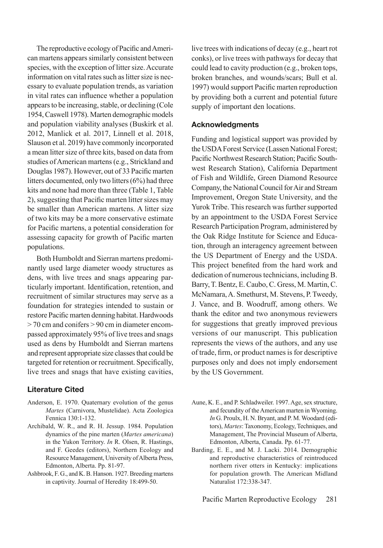The reproductive ecology of Pacifc and American martens appears similarly consistent between species, with the exception of litter size. Accurate information on vital rates such as litter size is necessary to evaluate population trends, as variation in vital rates can infuence whether a population appears to be increasing, stable, or declining (Cole 1954, Caswell 1978). Marten demographic models and population viability analyses (Buskirk et al. 2012, Manlick et al. 2017, Linnell et al. 2018, Slauson et al. 2019) have commonly incorporated a mean litter size of three kits, based on data from studies of American martens (e.g., Strickland and Douglas 1987). However, out of 33 Pacifc marten litters documented, only two litters (6%) had three kits and none had more than three (Table 1, Table 2), suggesting that Pacifc marten litter sizes may be smaller than American martens. A litter size of two kits may be a more conservative estimate for Pacifc martens, a potential consideration for assessing capacity for growth of Pacifc marten populations.

Both Humboldt and Sierran martens predominantly used large diameter woody structures as dens, with live trees and snags appearing particularly important. Identifcation, retention, and recruitment of similar structures may serve as a foundation for strategies intended to sustain or restore Pacifc marten denning habitat. Hardwoods > 70 cm and conifers > 90 cm in diameter encompassed approximately 95% of live trees and snags used as dens by Humboldt and Sierran martens and represent appropriate size classes that could be targeted for retention or recruitment. Specifcally, live trees and snags that have existing cavities,

# **Literature Cited**

- Anderson, E. 1970. Quaternary evolution of the genus *Martes* (Carnivora, Mustelidae). Acta Zoologica Fennica 130:1-132.
- Archibald, W. R., and R. H. Jessup. 1984. Population dynamics of the pine marten (*Martes americana*) in the Yukon Territory. *In* R. Olsen, R. Hastings, and F. Geedes (editors), Northern Ecology and Resource Management, University of Alberta Press, Edmonton, Alberta. Pp. 81-97.
- Ashbrook, F. G., and K. B. Hanson. 1927. Breeding martens in captivity. Journal of Heredity 18:499-50.

live trees with indications of decay (e.g., heart rot conks), or live trees with pathways for decay that could lead to cavity production (e.g., broken tops, broken branches, and wounds/scars; Bull et al. 1997) would support Pacifc marten reproduction by providing both a current and potential future supply of important den locations.

### **Acknowledgments**

Funding and logistical support was provided by the USDA Forest Service (Lassen National Forest; Pacifc Northwest Research Station; Pacifc Southwest Research Station), California Department of Fish and Wildlife, Green Diamond Resource Company, the National Council for Air and Stream Improvement, Oregon State University, and the Yurok Tribe. This research was further supported by an appointment to the USDA Forest Service Research Participation Program, administered by the Oak Ridge Institute for Science and Education, through an interagency agreement between the US Department of Energy and the USDA. This project benefted from the hard work and dedication of numerous technicians, including B. Barry, T. Bentz, E. Caubo, C. Gress, M. Martin, C. McNamara, A. Smethurst, M. Stevens, P. Tweedy, J. Vance, and B. Woodruff, among others. We thank the editor and two anonymous reviewers for suggestions that greatly improved previous versions of our manuscript. This publication represents the views of the authors, and any use of trade, frm, or product names is for descriptive purposes only and does not imply endorsement by the US Government.

- Aune, K. E., and P. Schladweiler. 1997. Age, sex structure, and fecundity of the American marten in Wyoming. *In* G. Proulx, H. N. Bryant, and P. M. Woodard (editors), *Martes*: Taxonomy, Ecology, Techniques, and Management, The Provincial Museum of Alberta, Edmonton, Alberta, Canada. Pp. 61-77.
- Barding, E. E., and M. J. Lacki. 2014. Demographic and reproductive characteristics of reintroduced northern river otters in Kentucky: implications for population growth. The American Midland Naturalist 172:338-347.

Pacific Marten Reproductive Ecology 281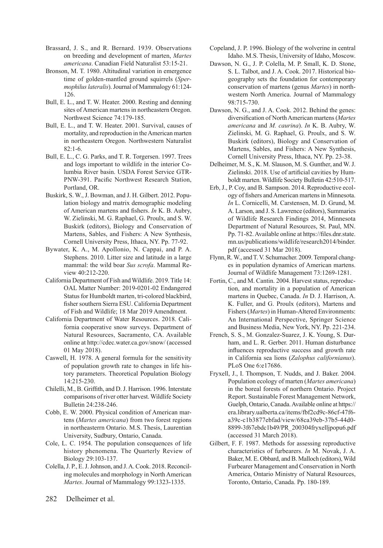- Brassard, J. S., and R. Bernard. 1939. Observations on breeding and development of marten, *Martes americana*. Canadian Field Naturalist 53:15-21.
- Bronson, M. T. 1980. Altitudinal variation in emergence time of golden-mantled ground squirrels (*Spermophilus lateralis*). Journal of Mammalogy 61:124- 126.
- Bull, E. L., and T. W. Heater. 2000. Resting and denning sites of American martens in northeastern Oregon. Northwest Science 74:179-185.
- Bull, E. L., and T. W. Heater. 2001. Survival, causes of mortality, and reproduction in the American marten in northeastern Oregon. Northwestern Naturalist  $82:1-6.$
- Bull, E. L., C. G. Parks, and T. R. Torgersen. 1997. Trees and logs important to wildlife in the interior Columbia River basin. USDA Forest Service GTR-PNW-391. Pacifc Northwest Research Station, Portland, OR.
- Buskirk, S. W., J. Bowman, and J. H. Gilbert. 2012. Population biology and matrix demographic modeling of American martens and fshers. *In* K. B. Aubry, W. Zielinski, M. G. Raphael, G. Proulx, and S. W. Buskirk (editors), Biology and Conservation of Martens, Sables, and Fishers: A New Synthesis, Cornell University Press, Ithaca, NY. Pp. 77-92.
- Bywater, K. A., M. Apollonio, N. Cappai, and P. A. Stephens. 2010. Litter size and latitude in a large mammal: the wild boar *Sus scrofa*. Mammal Review 40:212-220.
- California Department of Fish and Wildlife. 2019. Title 14: OAL Matter Number: 2019-0201-02 Endangered Status for Humboldt marten, tri-colored blackbird, fsher southern Sierra ESU. California Department of Fish and Wildlife; 18 Mar 2019 Amendment.
- California Department of Water Resources. 2018. California cooperative snow surveys. Department of Natural Resources, Sacramento, CA. Available online at http://cdec.water.ca.gov/snow/ (accessed 01 May 2018).
- Caswell, H. 1978. A general formula for the sensitivity of population growth rate to changes in life history parameters. Theoretical Population Biology 14:215-230.
- Chilelli, M., B. Griffth, and D. J. Harrison. 1996. Interstate comparisons of river otter harvest. Wildlife Society Bulletin 24:238-246.
- Cobb, E. W. 2000. Physical condition of American martens (*Martes americana*) from two forest regions in northeasterrn Ontario. M.S. Thesis, Laurentian University, Sudbury, Ontario, Canada.
- Cole, L. C. 1954. The population consequences of life history phenomena. The Quarterly Review of Biology 29:103-137.
- Colella, J. P., E. J. Johnson, and J. A. Cook. 2018. Reconciling molecules and morphology in North American *Martes*. Journal of Mammalogy 99:1323-1335.
- Copeland, J. P. 1996. Biology of the wolverine in central Idaho. M.S. Thesis, University of Idaho, Moscow.
- Dawson, N. G., J. P. Colella, M. P. Small, K. D. Stone, S. L. Talbot, and J. A. Cook. 2017. Historical biogeography sets the foundation for contemporary conservation of martens (genus *Martes*) in northwestern North America. Journal of Mammalogy 98:715-730.
- Dawson, N. G., and J. A. Cook. 2012. Behind the genes: diversifcation of North American martens (*Martes americana* and *M. caurina*). *In* K. B. Aubry, W. Zielinski, M. G. Raphael, G. Proulx, and S. W. Buskirk (editors), Biology and Conservation of Martens, Sables, and Fishers: A New Synthesis, Cornell University Press, Ithaca, NY. Pp. 23-38.
- Delheimer, M. S., K. M. Slauson, M. S. Gunther, and W. J. Zielinski. 2018. Use of artifcial cavities by Humboldt marten. Wildlife Society Bulletin 42:510-517.
- Erb, J., P. Coy, and B. Sampson. 2014. Reproductive ecology of fshers and American martens in Minnesota. *In* L. Cornicelli, M. Carstensen, M. D. Grund, M. A. Larson, and J. S. Lawrence (editors), Summaries of Wildlife Research Findings 2014, Minnesota Department of Natural Resources, St. Paul, MN. Pp. 71-82. Available online at https://fles.dnr.state. mn.us/publications/wildlife/research2014/binder. pdf (accessed 31 Mar 2018).
- Flynn, R. W., and T. V. Schumacher. 2009. Temporal changes in population dynamics of American martens. Journal of Wildlife Management 73:1269-1281.
- Fortin, C., and M. Cantin. 2004. Harvest status, reproduction, and mortality in a population of American martens in Quebec, Canada. *In* D. J. Harrison, A. K. Fuller, and G. Proulx (editors), Martens and Fishers (*Martes*) in Human-Altered Environments: An International Perspective, Springer Science and Business Media, New York, NY. Pp. 221-234.
- French, S. S., M. Gonzalez-Suarez, J. K. Young, S. Durham, and L. R. Gerber. 2011. Human disturbance infuences reproductive success and growth rate in California sea lions (*Zalophus californianus*). PLoS One 6:e17686.
- Fryxell, J., I. Thompson, T. Nudds, and J. Baker. 2004. Population ecology of marten (*Martes americana*) in the boreal forests of northern Ontario. Project Report. Sustainable Forest Management Network, Guelph, Ontario, Canada. Available online at https:// era.library.ualberta.ca/items/fbf2cd9c-86cf-47f6 a39c-c1b3877ebfad/view/68ca39eb-37b5-44d0- 8899-3f67ebdc1b49/PR\_200304fryxelljpopu6.pdf (accessed 31 March 2018).
- Gilbert, F. F. 1987. Methods for assessing reproductive characteristics of furbearers. *In* M. Novak, J. A. Baker, M. E. Obbard, and B. Malloch (editors), Wild Furbearer Management and Conservation in North America, Ontario Ministry of Natural Resources, Toronto, Ontario, Canada. Pp. 180-189.

282 Delheimer et al.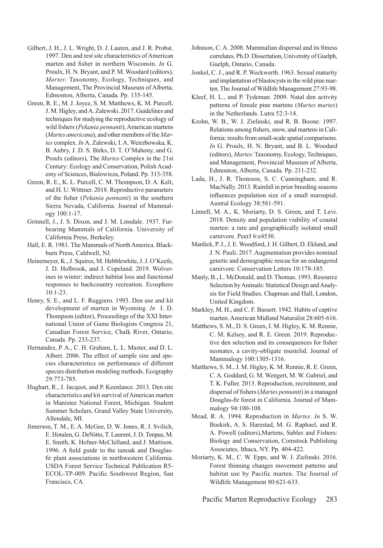- Gilbert, J. H., J. L. Wright, D. J. Lauten, and J. R. Probst. 1997. Den and rest site characteristics of American marten and fsher in northern Wisconsin. *In* G. Proulx, H. N. Bryant, and P. M. Woodard (editors), *Martes*: Taxonomy, Ecology, Techniques, and Management, The Provincial Museum of Alberta, Edmonton, Alberta, Canada. Pp. 135-145.
- Green, R. E., M. J. Joyce, S. M. Matthews, K. M. Purcell, J. M. Higley, and A. Zalewski. 2017. Guidelines and techniques for studying the reproductive ecology of wild fshers (*Pekania pennanti*), American martens (*Martes americana*), and other members of the *Martes* complex. *In* A. Zalewski, I. A. Weirzbowska, K. B. Aubry, J. D. S. Birks, D. T. O'Mahony, and G. Proulx (editors), The *Martes* Complex in the 21st Century: Ecology and Conservation, Polish Academy of Sciences, Bialowieza, Poland. Pp. 313-358.
- Green, R. E., K. L. Purcell, C. M. Thompson, D. A. Kelt, and H. U. Wittmer. 2018. Reproductive parameters of the fsher (*Pekania pennanti*) in the southern Sierra Nevada, California. Journal of Mammalogy 100:1-17.
- Grinnell, J., J. S. Dixon, and J. M. Linsdale. 1937. Furbearing Mammals of California. University of California Press, Berkeley.
- Hall, E. R. 1981. The Mammals of North America. Blackburn Press, Caldwell, NJ.
- Heinemeyer, K., J. Squires, M. Hebblewhite, J. J. O'Keefe, J. D. Holbrook, and J. Copeland. 2019. Wolverines in winter: indirect habitat loss and functional responses to backcountry recreation. Ecosphere 10:1-23.
- Henry, S. E., and L. F. Ruggiero. 1993. Den use and kit development of marten in Wyoming. *In* I. D. Thompson (editor), Proceedings of the XXI International Union of Game Biologists Congress 21, Canadian Forest Service, Chalk River, Ontario, Canada. Pp. 233-237.
- Hernandez, P. A., C. H. Graham, L. L. Master, and D. L. Albert. 2006. The effect of sample size and species characteristics on performance of different species distribution modeling methods. Ecography 29:773-785.
- Hughart, R., J. Jacquot, and P. Keenlance. 2013. Den site characteristics and kit survival of American marten in Manistee National Forest, Michigan. Student Summer Scholars, Grand Valley State University, Allendale, MI.
- Jimerson, T. M., E. A. McGee, D. W. Jones, R. J. Svilich, E. Hotalen, G. DeNitto, T. Laurent, J. D. Tenpas, M. E. Smith, K. Hefner-McClelland, and J. Mattison. 1996. A feld guide to the tanoak and Douglasfr plant associations in northwestern California. USDA Forest Service Technical Publication R5- ECOL-TP-009. Pacifc Southwest Region, San Francisco, CA.
- Johnson, C. A. 2008. Mammalian dispersal and its ftness correlates. Ph.D. Dissertation, University of Guelph, Guelph, Ontario, Canada.
- Jonkel, C. J., and R. P. Weckwerth. 1963. Sexual maturity and implantation of blastocysts in the wild pine marten. The Journal of Wildlife Management 27:93-98.
- Kleef, H. L., and P. Tydeman. 2009. Natal den activity patterns of female pine martens (*Martes martes*) in the Netherlands. Lutra 52:3-14.
- Krohn, W. B., W. J. Zielinski, and R. B. Boone. 1997. Relations among fshers, snow, and martens in California: results from small-scale spatial comparisons. *In* G. Proulx, H. N. Bryant, and B. L. Woodard (editors), *Martes*: Taxonomy, Ecology, Techniques, and Management, Provincial Museum of Alberta, Edmonton, Alberta, Canada. Pp. 211-232.
- Lada, H., J. R. Thomson, S. C. Cunningham, and R. MacNally. 2013. Rainfall in prior breeding seasons infuences population size of a small marsupial. Austral Ecology 38:581-591.
- Linnell, M. A., K. Moriarty, D. S. Green, and T. Levi. 2018. Density and population viability of coastal marten: a rare and geographically isolated small carnivore. PeerJ 6:e4530.
- Manlick, P. J., J. E. Woodford, J. H. Gilbert, D. Eklund, and J. N. Pauli. 2017. Augmentation provides nominal genetic and demographic rescue for an endangered carnivore. Conservation Letters 10:178-185.
- Manly, B., L. McDonald, and D. Thomas. 1993. Resource Selection by Animals: Statistical Design and Analysis for Field Studies. Chapman and Hall, London, United Kingdom.
- Markley, M. H., and C. F. Bassett. 1942. Habits of captive marten. American Midland Naturalist 28:605-616.
- Matthews, S. M., D. S. Green, J. M. Higley, K. M. Rennie, C. M. Kelsey, and R. E. Green. 2019. Reproductive den selection and its consequences for fsher neonates, a cavity-obligate mustelid. Journal of Mammalogy 100:1305-1316.
- Matthews, S. M., J. M. Higley, K. M. Rennie, R. E. Green, C. A. Goddard, G. M. Wengert, M. W. Gabriel, and T. K. Fuller. 2013. Reproduction, recruitment, and dispersal of fshers (*Martes pennanti*) in a managed Douglas-fr forest in California. Journal of Mammalogy 94:100-108.
- Mead, R. A. 1994. Reproduction in *Martes*. *In* S. W. Buskirk, A. S. Harestad, M. G. Raphael, and R. A. Powell (editors),Martens, Sables and Fishers: Biology and Conservation, Comstock Publishing Associates, Ithaca, NY. Pp. 404-422.
- Moriarty, K. M., C. W. Epps, and W. J. Zielinski. 2016. Forest thinning changes movement patterns and habitat use by Pacific marten. The Journal of Wildlife Management 80:621-633.

Pacifc Marten Reproductive Ecology 283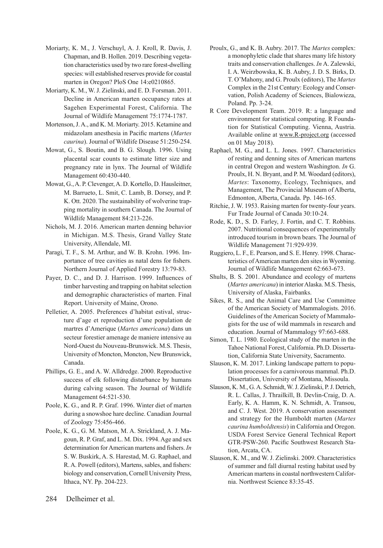- Moriarty, K. M., J. Verschuyl, A. J. Kroll, R. Davis, J. Chapman, and B. Hollen. 2019. Describing vegetation characteristics used by two rare forest-dwelling species: will established reserves provide for coastal marten in Oregon? PloS One 14:e0210865.
- Moriarty, K. M., W. J. Zielinski, and E. D. Forsman. 2011. Decline in American marten occupancy rates at Sagehen Experimental Forest, California. The Journal of Wildlife Management 75:1774-1787.
- Mortenson, J. A., and K. M. Moriarty. 2015. Ketamine and midazolam anesthesia in Pacifc martens (*Martes caurina*). Journal of Wildlife Disease 51:250-254.
- Mowat, G., S. Boutin, and B. G. Slough. 1996. Using placental scar counts to estimate litter size and pregnancy rate in lynx. The Journal of Wildlife Management 60:430-440.
- Mowat, G., A. P. Clevenger, A. D. Kortello, D. Hausleitner, M. Barrueto, L. Smit, C. Lamb, B. Dorsey, and P. K. Ott. 2020. The sustainability of wolverine trapping mortality in southern Canada. The Journal of Wildlife Management 84:213-226.
- Nichols, M. J. 2016. American marten denning behavior in Michigan. M.S. Thesis, Grand Valley State University, Allendale, MI.
- Paragi, T. F., S. M. Arthur, and W. B. Krohn. 1996. Importance of tree cavities as natal dens for fshers. Northern Journal of Applied Forestry 13:79-83.
- Payer, D. C., and D. J. Harrison. 1999. Infuences of timber harvesting and trapping on habitat selection and demographic characteristics of marten. Final Report. University of Maine, Orono.
- Pelletier, A. 2005. Preferences d'habitat estival, structure d'age et reproduction d'une population de martres d'Amerique (*Martes americana*) dans un secteur forestier amenage de maniere intensive au Nord-Ouest du Nouveau-Brunswick. M.S. Thesis, University of Moncton, Moncton, New Brunswick, Canada.
- Phillips, G. E., and A. W. Alldredge. 2000. Reproductive success of elk following disturbance by humans during calving season. The Journal of Wildlife Management 64:521-530.
- Poole, K. G., and R. P. Graf. 1996. Winter diet of marten during a snowshoe hare decline. Canadian Journal of Zoology 75:456-466.
- Poole, K. G., G. M. Matson, M. A. Strickland, A. J. Magoun, R. P. Graf, and L. M. Dix. 1994. Age and sex determination for American martens and fshers. *In*  S. W. Buskirk, A. S. Harestad, M. G. Raphael, and R. A. Powell (editors), Martens, sables, and fishers: biology and conservation, Cornell University Press, Ithaca, NY. Pp. 204-223.
- Proulx, G., and K. B. Aubry. 2017. The *Martes* complex: a monophyletic clade that shares many life history traits and conservation challenges. *In* A. Zalewski, I. A. Weirzbowska, K. B. Aubry, J. D. S. Birks, D. T. O'Mahony, and G. Proulx (editors), The *Martes*  Complex in the 21st Century: Ecology and Conservation, Polish Academy of Sciences, Bialowieza, Poland. Pp. 3-24.
- R Core Development Team. 2019. R: a language and environment for statistical computing. R Foundation for Statistical Computing. Vienna, Austria. Available online at www.R-project.org (accessed on 01 May 2018).
- Raphael, M. G., and L. L. Jones. 1997. Characteristics of resting and denning sites of American martens in central Oregon and western Washington. *In* G. Proulx, H. N. Bryant, and P. M. Woodard (editors), *Martes*: Taxonomy, Ecology, Techniques, and Management, The Provincial Museum of Alberta, Edmonton, Alberta, Canada. Pp. 146-165.
- Ritchie, J. W. 1953. Raising marten for twenty-four years. Fur Trade Journal of Canada 30:10-24.
- Rode, K. D., S. D. Farley, J. Fortin, and C. T. Robbins. 2007. Nutritional consequences of experimentally introduced tourism in brown bears. The Journal of Wildlife Management 71:929-939.
- Ruggiero, L. F., E. Pearson, and S. E. Henry. 1998. Characteristics of American marten den sites in Wyoming. Journal of Wildlife Management 62:663-673.
- Shults, B. S. 2001. Abundance and ecology of martens (*Martes americana*) in interior Alaska. M.S. Thesis, University of Alaska, Fairbanks.
- Sikes, R. S., and the Animal Care and Use Committee of the American Society of Mammalogists. 2016. Guidelines of the American Society of Mammalogists for the use of wild mammals in research and education. Journal of Mammalogy 97:663-688.
- Simon, T. L. 1980. Ecological study of the marten in the Tahoe National Forest, California. Ph.D. Dissertation, California State University, Sacramento.
- Slauson, K. M. 2017. Linking landscape pattern to population processes for a carnivorous mammal. Ph.D. Dissertation, University of Montana, Missoula.
- Slauson, K. M., G. A. Schmidt, W. J. Zielinski, P. J. Detrich, R. L. Callas, J. Thrailkill, B. Devlin-Craig, D. A. Early, K. A. Hamm, K. N. Schmidt, A. Transou, and C. J. West. 2019. A conservation assessment and strategy for the Humboldt marten (*Martes caurina humboldtensis*) in California and Oregon. USDA Forest Service General Technical Report GTR-PSW-260. Pacifc Southwest Research Station, Arcata, CA.
- Slauson, K. M., and W. J. Zielinski. 2009. Characteristics of summer and fall diurnal resting habitat used by American martens in coastal northwestern California. Northwest Science 83:35-45.

284 Delheimer et al.